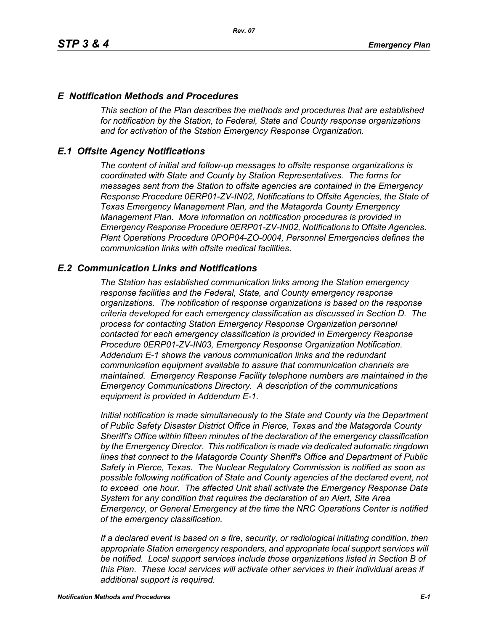### *E Notification Methods and Procedures*

*This section of the Plan describes the methods and procedures that are established for notification by the Station, to Federal, State and County response organizations and for activation of the Station Emergency Response Organization.*

## *E.1 Offsite Agency Notifications*

*The content of initial and follow-up messages to offsite response organizations is coordinated with State and County by Station Representatives. The forms for messages sent from the Station to offsite agencies are contained in the Emergency Response Procedure 0ERP01-ZV-IN02, Notifications to Offsite Agencies, the State of Texas Emergency Management Plan, and the Matagorda County Emergency Management Plan. More information on notification procedures is provided in Emergency Response Procedure 0ERP01-ZV-IN02, Notifications to Offsite Agencies. Plant Operations Procedure 0POP04-ZO-0004, Personnel Emergencies defines the communication links with offsite medical facilities.*

## *E.2 Communication Links and Notifications*

*The Station has established communication links among the Station emergency response facilities and the Federal, State, and County emergency response organizations. The notification of response organizations is based on the response criteria developed for each emergency classification as discussed in Section D. The process for contacting Station Emergency Response Organization personnel contacted for each emergency classification is provided in Emergency Response Procedure 0ERP01-ZV-IN03, Emergency Response Organization Notification. Addendum E-1 shows the various communication links and the redundant communication equipment available to assure that communication channels are maintained. Emergency Response Facility telephone numbers are maintained in the Emergency Communications Directory. A description of the communications equipment is provided in Addendum E-1.*

*Initial notification is made simultaneously to the State and County via the Department of Public Safety Disaster District Office in Pierce, Texas and the Matagorda County Sheriff's Office within fifteen minutes of the declaration of the emergency classification by the Emergency Director. This notification is made via dedicated automatic ringdown lines that connect to the Matagorda County Sheriff's Office and Department of Public Safety in Pierce, Texas. The Nuclear Regulatory Commission is notified as soon as possible following notification of State and County agencies of the declared event, not to exceed one hour. The affected Unit shall activate the Emergency Response Data System for any condition that requires the declaration of an Alert, Site Area Emergency, or General Emergency at the time the NRC Operations Center is notified of the emergency classification.*

*If a declared event is based on a fire, security, or radiological initiating condition, then appropriate Station emergency responders, and appropriate local support services will be notified. Local support services include those organizations listed in Section B of this Plan. These local services will activate other services in their individual areas if additional support is required.*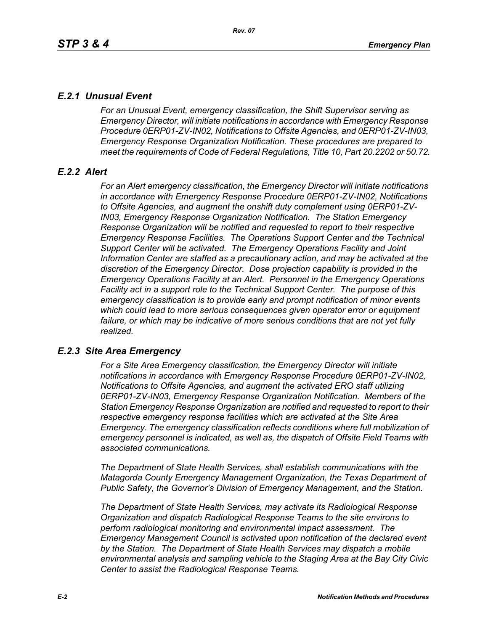# *E.2.1 Unusual Event*

*For an Unusual Event, emergency classification, the Shift Supervisor serving as Emergency Director, will initiate notifications in accordance with Emergency Response Procedure 0ERP01-ZV-IN02, Notifications to Offsite Agencies, and 0ERP01-ZV-IN03, Emergency Response Organization Notification. These procedures are prepared to meet the requirements of Code of Federal Regulations, Title 10, Part 20.2202 or 50.72.*

# *E.2.2 Alert*

*For an Alert emergency classification, the Emergency Director will initiate notifications in accordance with Emergency Response Procedure 0ERP01-ZV-IN02, Notifications to Offsite Agencies, and augment the onshift duty complement using 0ERP01-ZV-IN03, Emergency Response Organization Notification. The Station Emergency Response Organization will be notified and requested to report to their respective Emergency Response Facilities. The Operations Support Center and the Technical Support Center will be activated. The Emergency Operations Facility and Joint Information Center are staffed as a precautionary action, and may be activated at the discretion of the Emergency Director. Dose projection capability is provided in the Emergency Operations Facility at an Alert. Personnel in the Emergency Operations Facility act in a support role to the Technical Support Center. The purpose of this emergency classification is to provide early and prompt notification of minor events which could lead to more serious consequences given operator error or equipment*  failure, or which may be indicative of more serious conditions that are not yet fully *realized.*

# *E.2.3 Site Area Emergency*

*For a Site Area Emergency classification, the Emergency Director will initiate notifications in accordance with Emergency Response Procedure 0ERP01-ZV-IN02, Notifications to Offsite Agencies, and augment the activated ERO staff utilizing 0ERP01-ZV-IN03, Emergency Response Organization Notification. Members of the Station Emergency Response Organization are notified and requested to report to their respective emergency response facilities which are activated at the Site Area Emergency. The emergency classification reflects conditions where full mobilization of emergency personnel is indicated, as well as, the dispatch of Offsite Field Teams with associated communications.*

*The Department of State Health Services, shall establish communications with the Matagorda County Emergency Management Organization, the Texas Department of Public Safety, the Governor's Division of Emergency Management, and the Station.* 

*The Department of State Health Services, may activate its Radiological Response Organization and dispatch Radiological Response Teams to the site environs to perform radiological monitoring and environmental impact assessment. The Emergency Management Council is activated upon notification of the declared event by the Station. The Department of State Health Services may dispatch a mobile environmental analysis and sampling vehicle to the Staging Area at the Bay City Civic Center to assist the Radiological Response Teams.*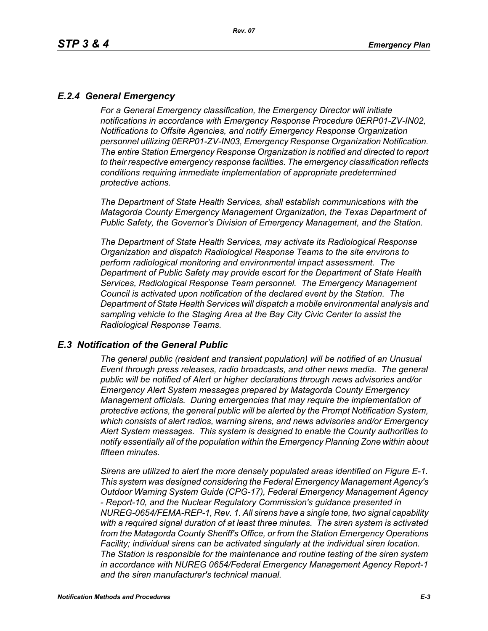# *E.2.4 General Emergency*

*For a General Emergency classification, the Emergency Director will initiate notifications in accordance with Emergency Response Procedure 0ERP01-ZV-IN02, Notifications to Offsite Agencies, and notify Emergency Response Organization personnel utilizing 0ERP01-ZV-IN03, Emergency Response Organization Notification. The entire Station Emergency Response Organization is notified and directed to report to their respective emergency response facilities. The emergency classification reflects conditions requiring immediate implementation of appropriate predetermined protective actions.*

*The Department of State Health Services, shall establish communications with the Matagorda County Emergency Management Organization, the Texas Department of Public Safety, the Governor's Division of Emergency Management, and the Station.*

*The Department of State Health Services, may activate its Radiological Response Organization and dispatch Radiological Response Teams to the site environs to perform radiological monitoring and environmental impact assessment. The Department of Public Safety may provide escort for the Department of State Health Services, Radiological Response Team personnel. The Emergency Management Council is activated upon notification of the declared event by the Station. The Department of State Health Services will dispatch a mobile environmental analysis and sampling vehicle to the Staging Area at the Bay City Civic Center to assist the Radiological Response Teams.*

### *E.3 Notification of the General Public*

*The general public (resident and transient population) will be notified of an Unusual Event through press releases, radio broadcasts, and other news media. The general public will be notified of Alert or higher declarations through news advisories and/or Emergency Alert System messages prepared by Matagorda County Emergency Management officials. During emergencies that may require the implementation of protective actions, the general public will be alerted by the Prompt Notification System, which consists of alert radios, warning sirens, and news advisories and/or Emergency Alert System messages. This system is designed to enable the County authorities to notify essentially all of the population within the Emergency Planning Zone within about fifteen minutes.* 

*Sirens are utilized to alert the more densely populated areas identified on Figure E-1. This system was designed considering the Federal Emergency Management Agency's Outdoor Warning System Guide (CPG-17), Federal Emergency Management Agency - Report-10, and the Nuclear Regulatory Commission's guidance presented in NUREG-0654/FEMA-REP-1, Rev. 1. All sirens have a single tone, two signal capability with a required signal duration of at least three minutes. The siren system is activated from the Matagorda County Sheriff's Office, or from the Station Emergency Operations Facility; individual sirens can be activated singularly at the individual siren location. The Station is responsible for the maintenance and routine testing of the siren system in accordance with NUREG 0654/Federal Emergency Management Agency Report-1 and the siren manufacturer's technical manual.*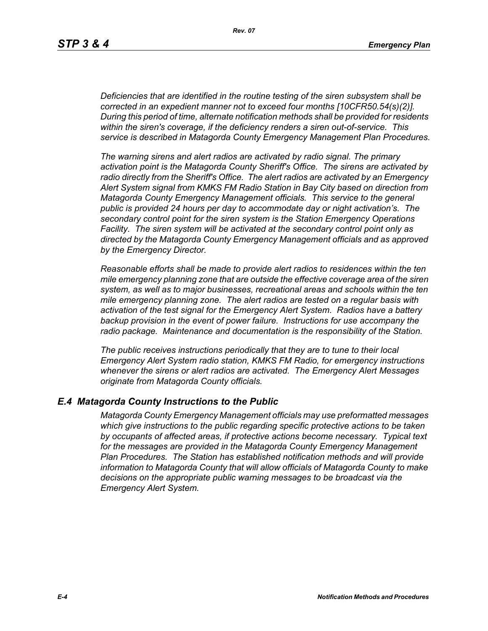*Deficiencies that are identified in the routine testing of the siren subsystem shall be corrected in an expedient manner not to exceed four months [10CFR50.54(s)(2)]. During this period of time, alternate notification methods shall be provided for residents within the siren's coverage, if the deficiency renders a siren out-of-service. This service is described in Matagorda County Emergency Management Plan Procedures.*

*The warning sirens and alert radios are activated by radio signal. The primary activation point is the Matagorda County Sheriff's Office. The sirens are activated by radio directly from the Sheriff's Office. The alert radios are activated by an Emergency Alert System signal from KMKS FM Radio Station in Bay City based on direction from Matagorda County Emergency Management officials. This service to the general public is provided 24 hours per day to accommodate day or night activation's. The secondary control point for the siren system is the Station Emergency Operations Facility. The siren system will be activated at the secondary control point only as directed by the Matagorda County Emergency Management officials and as approved by the Emergency Director.* 

*Reasonable efforts shall be made to provide alert radios to residences within the ten mile emergency planning zone that are outside the effective coverage area of the siren system, as well as to major businesses, recreational areas and schools within the ten mile emergency planning zone. The alert radios are tested on a regular basis with activation of the test signal for the Emergency Alert System. Radios have a battery backup provision in the event of power failure. Instructions for use accompany the radio package. Maintenance and documentation is the responsibility of the Station.* 

*The public receives instructions periodically that they are to tune to their local Emergency Alert System radio station, KMKS FM Radio, for emergency instructions whenever the sirens or alert radios are activated. The Emergency Alert Messages originate from Matagorda County officials.* 

### *E.4 Matagorda County Instructions to the Public*

*Matagorda County Emergency Management officials may use preformatted messages which give instructions to the public regarding specific protective actions to be taken by occupants of affected areas, if protective actions become necessary. Typical text for the messages are provided in the Matagorda County Emergency Management Plan Procedures. The Station has established notification methods and will provide information to Matagorda County that will allow officials of Matagorda County to make decisions on the appropriate public warning messages to be broadcast via the Emergency Alert System.*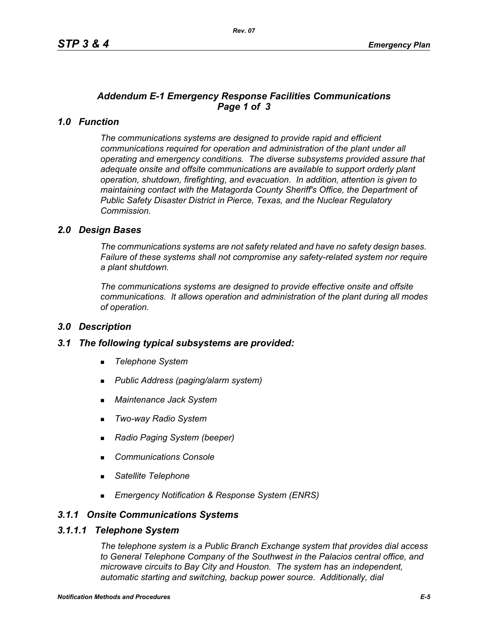# *Addendum E-1 Emergency Response Facilities Communications Page 1 of 3*

# *1.0 Function*

*The communications systems are designed to provide rapid and efficient communications required for operation and administration of the plant under all operating and emergency conditions. The diverse subsystems provided assure that adequate onsite and offsite communications are available to support orderly plant operation, shutdown, firefighting, and evacuation. In addition, attention is given to maintaining contact with the Matagorda County Sheriff's Office, the Department of Public Safety Disaster District in Pierce, Texas, and the Nuclear Regulatory Commission.*

## *2.0 Design Bases*

*The communications systems are not safety related and have no safety design bases. Failure of these systems shall not compromise any safety-related system nor require a plant shutdown.*

*The communications systems are designed to provide effective onsite and offsite communications. It allows operation and administration of the plant during all modes of operation.*

### *3.0 Description*

### *3.1 The following typical subsystems are provided:*

- *Telephone System*
- *Public Address (paging/alarm system)*
- *Maintenance Jack System*
- *Two-way Radio System*
- *Radio Paging System (beeper)*
- *Communications Console*
- *Satellite Telephone*
- *Emergency Notification & Response System (ENRS)*

## *3.1.1 Onsite Communications Systems*

#### *3.1.1.1 Telephone System*

*The telephone system is a Public Branch Exchange system that provides dial access to General Telephone Company of the Southwest in the Palacios central office, and microwave circuits to Bay City and Houston. The system has an independent, automatic starting and switching, backup power source. Additionally, dial*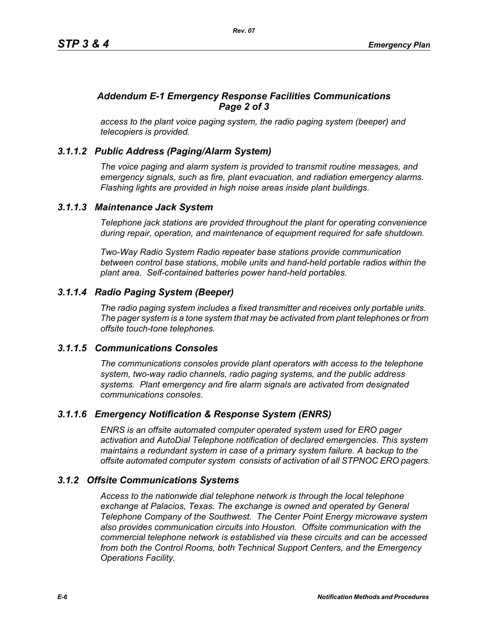# *Addendum E-1 Emergency Response Facilities Communications Page 2 of 3*

*access to the plant voice paging system, the radio paging system (beeper) and telecopiers is provided.*

# *3.1.1.2 Public Address (Paging/Alarm System)*

*The voice paging and alarm system is provided to transmit routine messages, and emergency signals, such as fire, plant evacuation, and radiation emergency alarms. Flashing lights are provided in high noise areas inside plant buildings.*

## *3.1.1.3 Maintenance Jack System*

*Telephone jack stations are provided throughout the plant for operating convenience during repair, operation, and maintenance of equipment required for safe shutdown.* 

*Two-Way Radio System Radio repeater base stations provide communication between control base stations, mobile units and hand-held portable radios within the plant area. Self-contained batteries power hand-held portables.* 

# *3.1.1.4 Radio Paging System (Beeper)*

*The radio paging system includes a fixed transmitter and receives only portable units. The pager system is a tone system that may be activated from plant telephones or from offsite touch-tone telephones.* 

### *3.1.1.5 Communications Consoles*

*The communications consoles provide plant operators with access to the telephone system, two-way radio channels, radio paging systems, and the public address systems. Plant emergency and fire alarm signals are activated from designated communications consoles.*

# *3.1.1.6 Emergency Notification & Response System (ENRS)*

*ENRS is an offsite automated computer operated system used for ERO pager activation and AutoDial Telephone notification of declared emergencies. This system maintains a redundant system in case of a primary system failure. A backup to the offsite automated computer system consists of activation of all STPNOC ERO pagers.*

### *3.1.2 Offsite Communications Systems*

*Access to the nationwide dial telephone network is through the local telephone exchange at Palacios, Texas. The exchange is owned and operated by General Telephone Company of the Southwest. The Center Point Energy microwave system also provides communication circuits into Houston. Offsite communication with the commercial telephone network is established via these circuits and can be accessed from both the Control Rooms, both Technical Support Centers, and the Emergency Operations Facility.*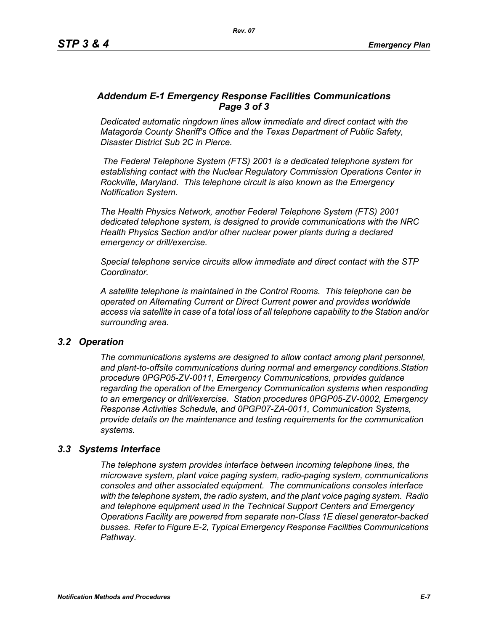## *Addendum E-1 Emergency Response Facilities Communications Page 3 of 3*

*Dedicated automatic ringdown lines allow immediate and direct contact with the Matagorda County Sheriff's Office and the Texas Department of Public Safety, Disaster District Sub 2C in Pierce.*

 *The Federal Telephone System (FTS) 2001 is a dedicated telephone system for establishing contact with the Nuclear Regulatory Commission Operations Center in Rockville, Maryland. This telephone circuit is also known as the Emergency Notification System.*

*The Health Physics Network, another Federal Telephone System (FTS) 2001 dedicated telephone system, is designed to provide communications with the NRC Health Physics Section and/or other nuclear power plants during a declared emergency or drill/exercise.*

*Special telephone service circuits allow immediate and direct contact with the STP Coordinator.*

*A satellite telephone is maintained in the Control Rooms. This telephone can be operated on Alternating Current or Direct Current power and provides worldwide access via satellite in case of a total loss of all telephone capability to the Station and/or surrounding area.*

### *3.2 Operation*

*The communications systems are designed to allow contact among plant personnel, and plant-to-offsite communications during normal and emergency conditions.Station procedure 0PGP05-ZV-0011, Emergency Communications, provides guidance regarding the operation of the Emergency Communication systems when responding to an emergency or drill/exercise. Station procedures 0PGP05-ZV-0002, Emergency Response Activities Schedule, and 0PGP07-ZA-0011, Communication Systems, provide details on the maintenance and testing requirements for the communication systems.*

### *3.3 Systems Interface*

*The telephone system provides interface between incoming telephone lines, the microwave system, plant voice paging system, radio-paging system, communications consoles and other associated equipment. The communications consoles interface with the telephone system, the radio system, and the plant voice paging system. Radio and telephone equipment used in the Technical Support Centers and Emergency Operations Facility are powered from separate non-Class 1E diesel generator-backed busses. Refer to Figure E-2, Typical Emergency Response Facilities Communications Pathway.*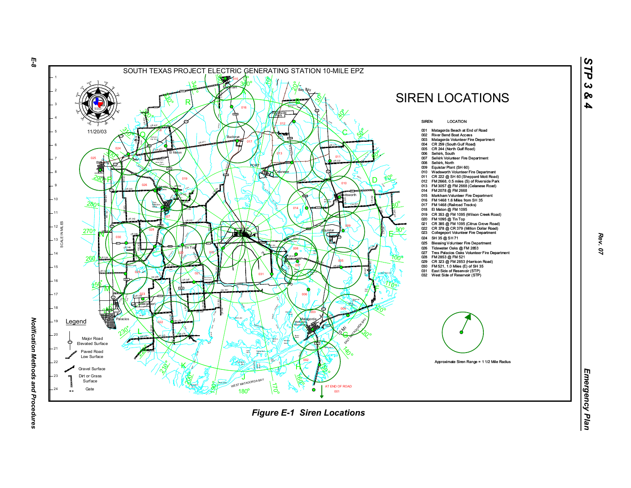

*Rev. 07*

*STP 3 & 4*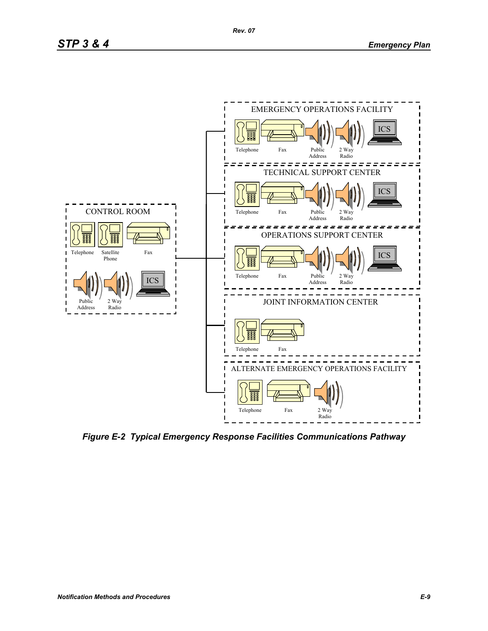

*Figure E-2 Typical Emergency Response Facilities Communications Pathway*